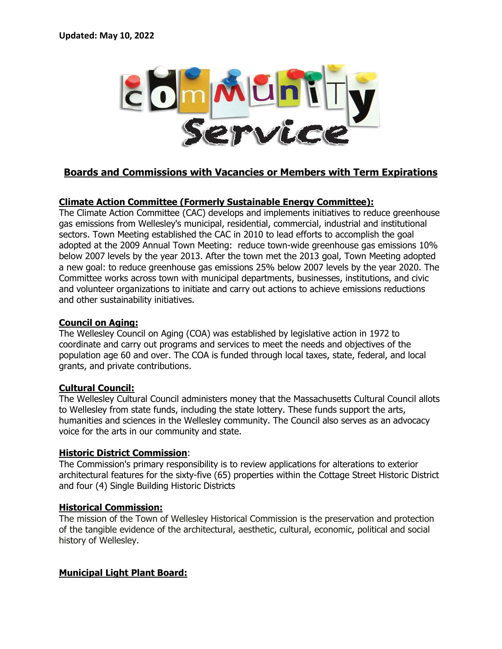

# **Boards and Commissions with Vacancies or Members with Term Expirations**

## **Climate Action Committee (Formerly Sustainable Energy Committee):**

The Climate Action Committee (CAC) develops and implements initiatives to reduce greenhouse gas emissions from Wellesley's municipal, residential, commercial, industrial and institutional sectors. Town Meeting established the CAC in 2010 to lead efforts to accomplish the goal adopted at the 2009 Annual Town Meeting: reduce town-wide greenhouse gas emissions 10% below 2007 levels by the year 2013. After the town met the 2013 goal, Town Meeting adopted a new goal: to reduce greenhouse gas emissions 25% below 2007 levels by the year 2020. The Committee works across town with municipal departments, businesses, institutions, and civic and volunteer organizations to initiate and carry out actions to achieve emissions reductions and other sustainability initiatives.

### **Council on Aging:**

The Wellesley Council on Aging (COA) was established by legislative action in 1972 to coordinate and carry out programs and services to meet the needs and objectives of the population age 60 and over. The COA is funded through local taxes, state, federal, and local grants, and private contributions.

## **Cultural Council:**

The Wellesley Cultural Council administers money that the Massachusetts Cultural Council allots to Wellesley from state funds, including the state lottery. These funds support the arts, humanities and sciences in the Wellesley community. The Council also serves as an advocacy voice for the arts in our community and state.

### **Historic District Commission**:

The Commission's primary responsibility is to review applications for alterations to exterior architectural features for the sixty-five (65) properties within the Cottage Street Historic District and four (4) Single Building Historic Districts

### **Historical Commission:**

The mission of the Town of Wellesley Historical Commission is the preservation and protection of the tangible evidence of the architectural, aesthetic, cultural, economic, political and social history of Wellesley.

## **Municipal Light Plant Board:**